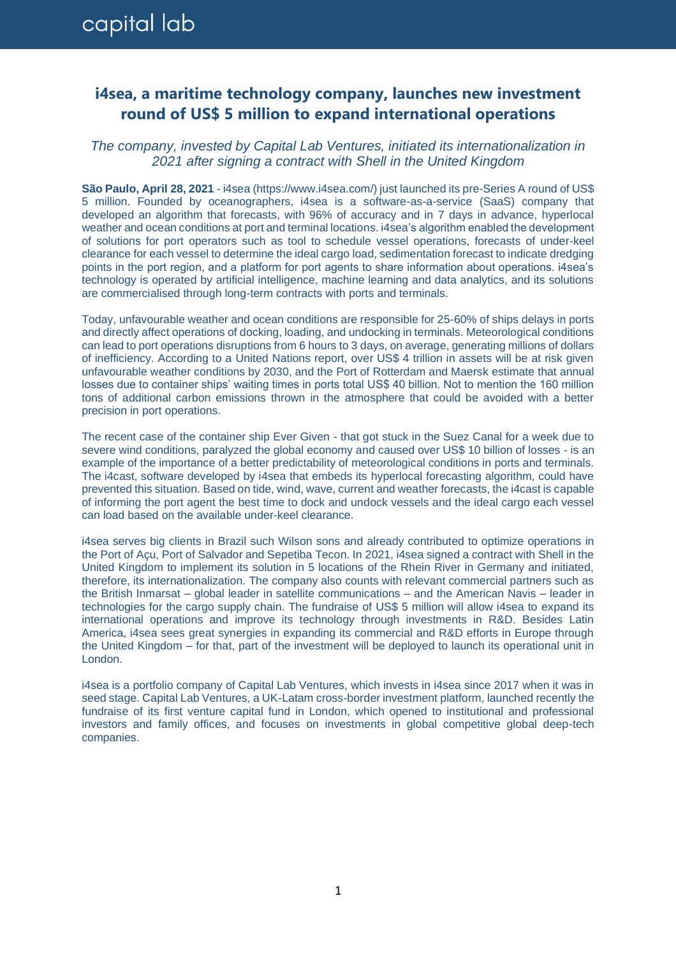## **i4sea, a maritime technology company, launches new investment round of US\$ 5 million to expand international operations**

## *The company, invested by Capital Lab Ventures, initiated its internationalization in 2021 after signing a contract with Shell in the United Kingdom*

**São Paulo, April 28, 2021** - i4sea (https://www.i4sea.com/) just launched its pre-Series A round of US\$ 5 million. Founded by oceanographers, i4sea is a software-as-a-service (SaaS) company that developed an algorithm that forecasts, with 96% of accuracy and in 7 days in advance, hyperlocal weather and ocean conditions at port and terminal locations. i4sea's algorithm enabled the development of solutions for port operators such as tool to schedule vessel operations, forecasts of under-keel clearance for each vessel to determine the ideal cargo load, sedimentation forecast to indicate dredging points in the port region, and a platform for port agents to share information about operations. i4sea's technology is operated by artificial intelligence, machine learning and data analytics, and its solutions are commercialised through long-term contracts with ports and terminals.

Today, unfavourable weather and ocean conditions are responsible for 25-60% of ships delays in ports and directly affect operations of docking, loading, and undocking in terminals. Meteorological conditions can lead to port operations disruptions from 6 hours to 3 days, on average, generating millions of dollars of inefficiency. According to a United Nations report, over US\$ 4 trillion in assets will be at risk given unfavourable weather conditions by 2030, and the Port of Rotterdam and Maersk estimate that annual losses due to container ships' waiting times in ports total US\$ 40 billion. Not to mention the 160 million tons of additional carbon emissions thrown in the atmosphere that could be avoided with a better precision in port operations.

The recent case of the container ship Ever Given - that got stuck in the Suez Canal for a week due to severe wind conditions, paralyzed the global economy and caused over US\$ 10 billion of losses - is an example of the importance of a better predictability of meteorological conditions in ports and terminals. The i4cast, software developed by i4sea that embeds its hyperlocal forecasting algorithm, could have prevented this situation. Based on tide, wind, wave, current and weather forecasts, the i4cast is capable of informing the port agent the best time to dock and undock vessels and the ideal cargo each vessel can load based on the available under-keel clearance.

i4sea serves big clients in Brazil such Wilson sons and already contributed to optimize operations in the Port of Açu, Port of Salvador and Sepetiba Tecon. In 2021, i4sea signed a contract with Shell in the United Kingdom to implement its solution in 5 locations of the Rhein River in Germany and initiated, therefore, its internationalization. The company also counts with relevant commercial partners such as the British Inmarsat – global leader in satellite communications – and the American Navis – leader in technologies for the cargo supply chain. The fundraise of US\$ 5 million will allow i4sea to expand its international operations and improve its technology through investments in R&D. Besides Latin America, i4sea sees great synergies in expanding its commercial and R&D efforts in Europe through the United Kingdom – for that, part of the investment will be deployed to launch its operational unit in London.

i4sea is a portfolio company of Capital Lab Ventures, which invests in i4sea since 2017 when it was in seed stage. Capital Lab Ventures, a UK-Latam cross-border investment platform, launched recently the fundraise of its first venture capital fund in London, which opened to institutional and professional investors and family offices, and focuses on investments in global competitive global deep-tech companies.